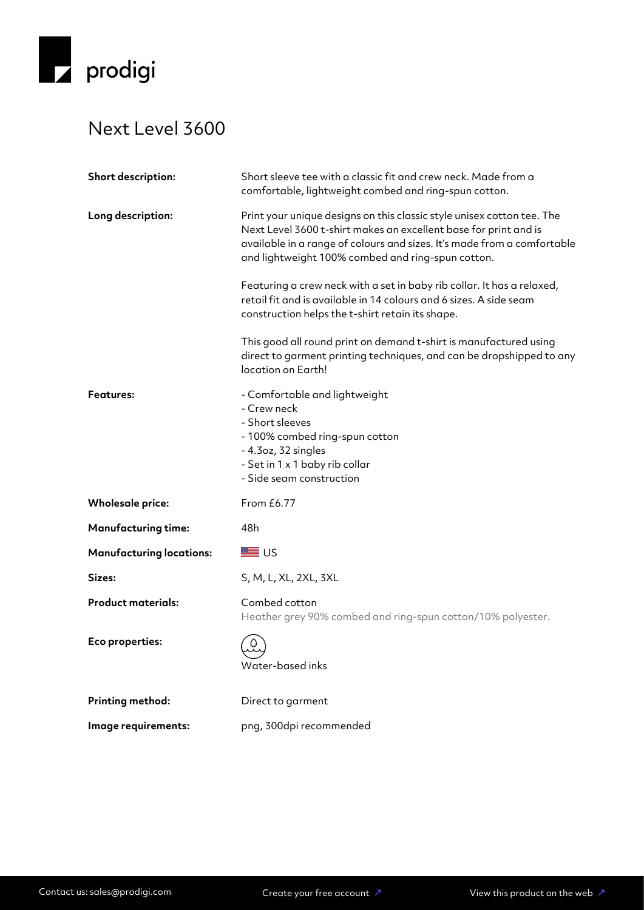

## Next Level 3600

| Short description:              | Short sleeve tee with a classic fit and crew neck. Made from a<br>comfortable, lightweight combed and ring-spun cotton.                                                                                                                                                    |
|---------------------------------|----------------------------------------------------------------------------------------------------------------------------------------------------------------------------------------------------------------------------------------------------------------------------|
| Long description:               | Print your unique designs on this classic style unisex cotton tee. The<br>Next Level 3600 t-shirt makes an excellent base for print and is<br>available in a range of colours and sizes. It's made from a comfortable<br>and lightweight 100% combed and ring-spun cotton. |
|                                 | Featuring a crew neck with a set in baby rib collar. It has a relaxed,<br>retail fit and is available in 14 colours and 6 sizes. A side seam<br>construction helps the t-shirt retain its shape.                                                                           |
|                                 | This good all round print on demand t-shirt is manufactured using<br>direct to garment printing techniques, and can be dropshipped to any<br>location on Earth!                                                                                                            |
| <b>Features:</b>                | - Comfortable and lightweight<br>- Crew neck<br>- Short sleeves<br>- 100% combed ring-spun cotton<br>- 4.3oz, 32 singles<br>- Set in 1 x 1 baby rib collar<br>- Side seam construction                                                                                     |
| <b>Wholesale price:</b>         | From £6.77                                                                                                                                                                                                                                                                 |
| <b>Manufacturing time:</b>      | 48h                                                                                                                                                                                                                                                                        |
| <b>Manufacturing locations:</b> | ■ ∪ऽ                                                                                                                                                                                                                                                                       |
| Sizes:                          | S, M, L, XL, 2XL, 3XL                                                                                                                                                                                                                                                      |
| <b>Product materials:</b>       | Combed cotton<br>Heather grey 90% combed and ring-spun cotton/10% polyester.                                                                                                                                                                                               |
| Eco properties:                 | Water-based inks                                                                                                                                                                                                                                                           |
| Printing method:                | Direct to garment                                                                                                                                                                                                                                                          |
| Image requirements:             | png, 300dpi recommended                                                                                                                                                                                                                                                    |